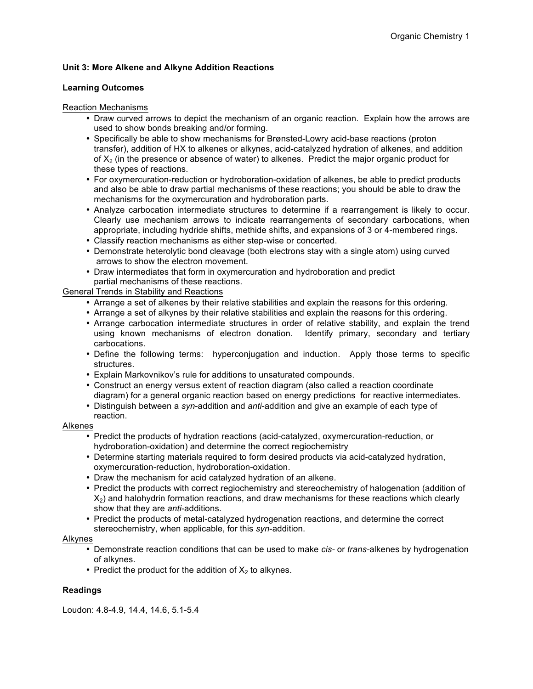# **Unit 3: More Alkene and Alkyne Addition Reactions**

## **Learning Outcomes**

## Reaction Mechanisms

- Draw curved arrows to depict the mechanism of an organic reaction. Explain how the arrows are used to show bonds breaking and/or forming.
- Specifically be able to show mechanisms for Brønsted-Lowry acid-base reactions (proton transfer), addition of HX to alkenes or alkynes, acid-catalyzed hydration of alkenes, and addition of  $X<sub>2</sub>$  (in the presence or absence of water) to alkenes. Predict the major organic product for these types of reactions.
- For oxymercuration-reduction or hydroboration-oxidation of alkenes, be able to predict products and also be able to draw partial mechanisms of these reactions; you should be able to draw the mechanisms for the oxymercuration and hydroboration parts.
- Analyze carbocation intermediate structures to determine if a rearrangement is likely to occur. Clearly use mechanism arrows to indicate rearrangements of secondary carbocations, when appropriate, including hydride shifts, methide shifts, and expansions of 3 or 4-membered rings.
- Classify reaction mechanisms as either step-wise or concerted.
- Demonstrate heterolytic bond cleavage (both electrons stay with a single atom) using curved arrows to show the electron movement.
- Draw intermediates that form in oxymercuration and hydroboration and predict partial mechanisms of these reactions.

General Trends in Stability and Reactions

- Arrange a set of alkenes by their relative stabilities and explain the reasons for this ordering.
- Arrange a set of alkynes by their relative stabilities and explain the reasons for this ordering.
- Arrange carbocation intermediate structures in order of relative stability, and explain the trend using known mechanisms of electron donation. Identify primary, secondary and tertiary carbocations.
- Define the following terms: hyperconjugation and induction. Apply those terms to specific structures.
- Explain Markovnikov's rule for additions to unsaturated compounds.
- Construct an energy versus extent of reaction diagram (also called a reaction coordinate diagram) for a general organic reaction based on energy predictions for reactive intermediates.
- Distinguish between a *syn*-addition and *anti*-addition and give an example of each type of reaction.

## Alkenes

- Predict the products of hydration reactions (acid-catalyzed, oxymercuration-reduction, or hydroboration-oxidation) and determine the correct regiochemistry
- Determine starting materials required to form desired products via acid-catalyzed hydration, oxymercuration-reduction, hydroboration-oxidation.
- Draw the mechanism for acid catalyzed hydration of an alkene.
- Predict the products with correct regiochemistry and stereochemistry of halogenation (addition of  $X<sub>2</sub>$ ) and halohydrin formation reactions, and draw mechanisms for these reactions which clearly show that they are *anti*-additions.
- Predict the products of metal-catalyzed hydrogenation reactions, and determine the correct stereochemistry, when applicable, for this *syn*-addition.

## Alkynes

- Demonstrate reaction conditions that can be used to make *cis-* or *trans-*alkenes by hydrogenation of alkynes.
- Predict the product for the addition of  $X_2$  to alkynes.

## **Readings**

Loudon: 4.8-4.9, 14.4, 14.6, 5.1-5.4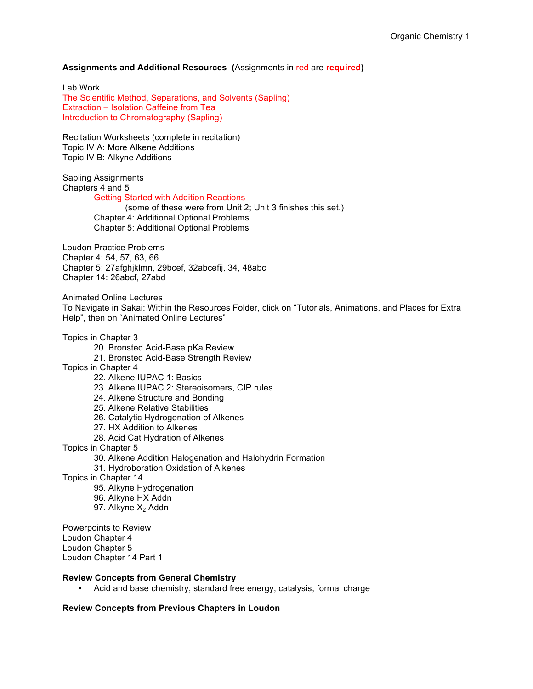## **Assignments and Additional Resources (**Assignments in red are **required)**

Lab Work The Scientific Method, Separations, and Solvents (Sapling) Extraction – Isolation Caffeine from Tea Introduction to Chromatography (Sapling)

Recitation Worksheets (complete in recitation) Topic IV A: More Alkene Additions Topic IV B: Alkyne Additions

Sapling Assignments

Chapters 4 and 5

## Getting Started with Addition Reactions

(some of these were from Unit 2; Unit 3 finishes this set.) Chapter 4: Additional Optional Problems Chapter 5: Additional Optional Problems

Loudon Practice Problems

Chapter 4: 54, 57, 63, 66

Chapter 5: 27afghjklmn, 29bcef, 32abcefij, 34, 48abc Chapter 14: 26abcf, 27abd

Animated Online Lectures

To Navigate in Sakai: Within the Resources Folder, click on "Tutorials, Animations, and Places for Extra Help", then on "Animated Online Lectures"

#### Topics in Chapter 3

- 20. Bronsted Acid-Base pKa Review
- 21. Bronsted Acid-Base Strength Review
- Topics in Chapter 4
	- 22. Alkene IUPAC 1: Basics
	- 23. Alkene IUPAC 2: Stereoisomers, CIP rules
	- 24. Alkene Structure and Bonding
	- 25. Alkene Relative Stabilities
	- 26. Catalytic Hydrogenation of Alkenes
	- 27. HX Addition to Alkenes
		- 28. Acid Cat Hydration of Alkenes

Topics in Chapter 5

- 30. Alkene Addition Halogenation and Halohydrin Formation
- 31. Hydroboration Oxidation of Alkenes
- Topics in Chapter 14
	- 95. Alkyne Hydrogenation
	- 96. Alkyne HX Addn
	- 97. Alkyne  $X<sub>2</sub>$  Addn

Powerpoints to Review

Loudon Chapter 4

Loudon Chapter 5

Loudon Chapter 14 Part 1

## **Review Concepts from General Chemistry**

• Acid and base chemistry, standard free energy, catalysis, formal charge

## **Review Concepts from Previous Chapters in Loudon**